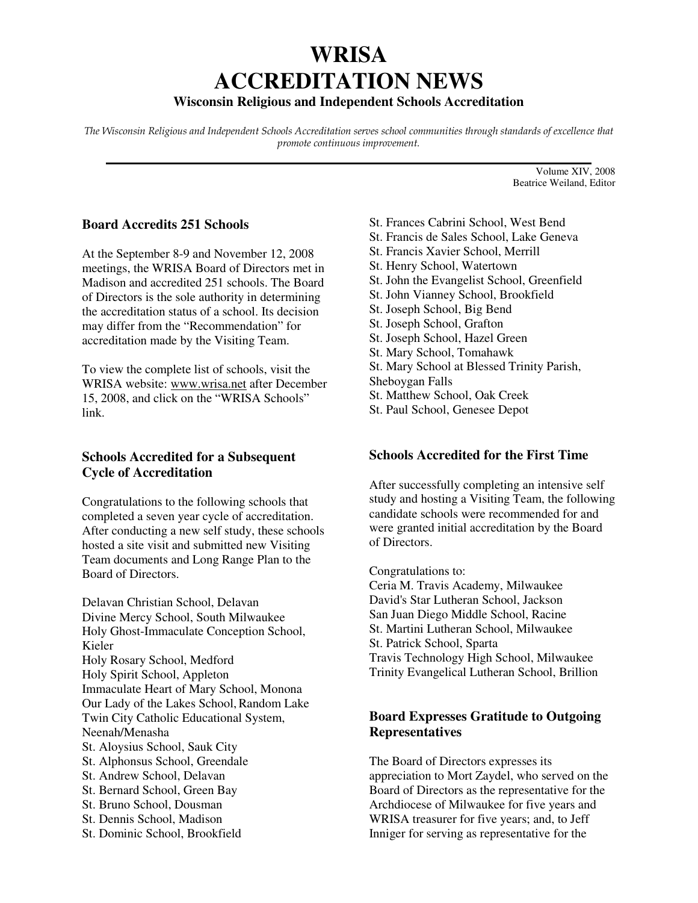# **WRISA ACCREDITATION NEWS**

## **Wisconsin Religious and Independent Schools Accreditation**

The Wisconsin Religious and Independent Schools Accreditation serves school communities through standards of excellence that promote continuous improvement. **\_\_\_\_\_\_\_\_\_\_\_\_\_\_\_\_\_\_\_\_\_\_\_\_\_\_\_\_\_\_\_\_\_\_\_\_\_\_\_\_\_\_\_\_\_\_\_\_\_\_\_\_\_\_\_\_\_\_\_\_\_\_\_\_\_\_\_\_\_\_\_**

Volume XIV, 2008 Beatrice Weiland, Editor

#### **Board Accredits 251 Schools**

At the September 8-9 and November 12, 2008 meetings, the WRISA Board of Directors met in Madison and accredited 251 schools. The Board of Directors is the sole authority in determining the accreditation status of a school. Its decision may differ from the "Recommendation" for accreditation made by the Visiting Team.

To view the complete list of schools, visit the WRISA website: www.wrisa.net after December 15, 2008, and click on the "WRISA Schools" link.

## **Schools Accredited for a Subsequent Cycle of Accreditation**

Congratulations to the following schools that completed a seven year cycle of accreditation. After conducting a new self study, these schools hosted a site visit and submitted new Visiting Team documents and Long Range Plan to the Board of Directors.

Delavan Christian School, Delavan Divine Mercy School, South Milwaukee Holy Ghost-Immaculate Conception School, Kieler Holy Rosary School, Medford Holy Spirit School, Appleton Immaculate Heart of Mary School, Monona Our Lady of the Lakes School, Random Lake Twin City Catholic Educational System, Neenah/Menasha St. Aloysius School, Sauk City St. Alphonsus School, Greendale St. Andrew School, Delavan St. Bernard School, Green Bay St. Bruno School, Dousman St. Dennis School, Madison St. Dominic School, Brookfield

- St. Frances Cabrini School, West Bend
- St. Francis de Sales School, Lake Geneva
- St. Francis Xavier School, Merrill
- St. Henry School, Watertown
- St. John the Evangelist School, Greenfield
- St. John Vianney School, Brookfield
- St. Joseph School, Big Bend
- St. Joseph School, Grafton
- St. Joseph School, Hazel Green
- St. Mary School, Tomahawk
- St. Mary School at Blessed Trinity Parish,
- Sheboygan Falls
- St. Matthew School, Oak Creek
- St. Paul School, Genesee Depot

## **Schools Accredited for the First Time**

After successfully completing an intensive self study and hosting a Visiting Team, the following candidate schools were recommended for and were granted initial accreditation by the Board of Directors.

Congratulations to:

Ceria M. Travis Academy, Milwaukee David's Star Lutheran School, Jackson San Juan Diego Middle School, Racine St. Martini Lutheran School, Milwaukee St. Patrick School, Sparta Travis Technology High School, Milwaukee Trinity Evangelical Lutheran School, Brillion

## **Board Expresses Gratitude to Outgoing Representatives**

The Board of Directors expresses its appreciation to Mort Zaydel, who served on the Board of Directors as the representative for the Archdiocese of Milwaukee for five years and WRISA treasurer for five years; and, to Jeff Inniger for serving as representative for the